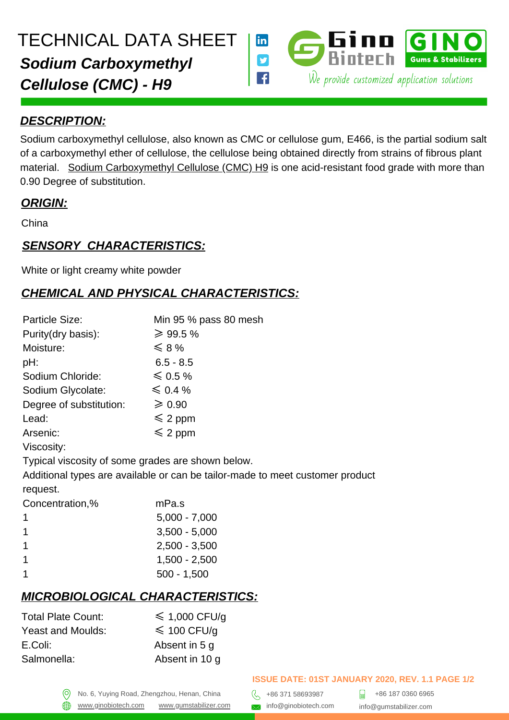

#### *DESCRIPTION:*

Sodium carboxymethyl cellulose, also known as CMC or cellulose gum, E466, is the partial sodium salt of a carboxymethyl ether of cellulose, the cellulose being obtained directly from strains of fibrous plant material. [Sodium Carboxymethyl Cellulose \(CMC\) H9](https://gumstabilizer.com/products/sodium-carboxymethyl-cellulose-cmc-h9) is one acid-resistant food grade with more than 0.90 Degree of substitution.

### *ORIGIN:*

China

### *SENSORY CHARACTERISTICS:*

White or light creamy white powder

## *CHEMICAL AND PHYSICAL CHARACTERISTICS:*

| Particle Size:          | Min 95 % pass 80 mesh |
|-------------------------|-----------------------|
| Purity(dry basis):      | $\geq 99.5\%$         |
| Moisture:               | $\leqslant$ 8 %       |
| pH:                     | $6.5 - 8.5$           |
| Sodium Chloride:        | $\leqslant$ 0.5 %     |
| Sodium Glycolate:       | $\leqslant$ 0.4 %     |
| Degree of substitution: | $\geqslant 0.90$      |
| Lead:                   | $\leqslant$ 2 ppm     |
| Arsenic:                | $\leqslant$ 2 ppm     |
| Viscosity:              |                       |
|                         |                       |

Typical viscosity of some grades are shown below.

Additional types are available or can be tailor-made to meet customer product

request.

⋒

| Concentration,% | mPa.s           |
|-----------------|-----------------|
| 1               | $5,000 - 7,000$ |
| 1               | $3,500 - 5,000$ |
| 1               | $2,500 - 3,500$ |
| 1               | $1,500 - 2,500$ |
|                 | $500 - 1,500$   |

# *MICROBIOLOGICAL CHARACTERISTICS:*

| <b>Total Plate Count:</b> | $\leq 1,000$ CFU/q    |
|---------------------------|-----------------------|
| <b>Yeast and Moulds:</b>  | $\leqslant$ 100 CFU/q |
| E.Coli:                   | Absent in 5 q         |
| Salmonella:               | Absent in 10 q        |
|                           |                       |

#### **ISSUE DATE: 01ST JANUARY 2020, REV. 1.1 PAGE 1/2**